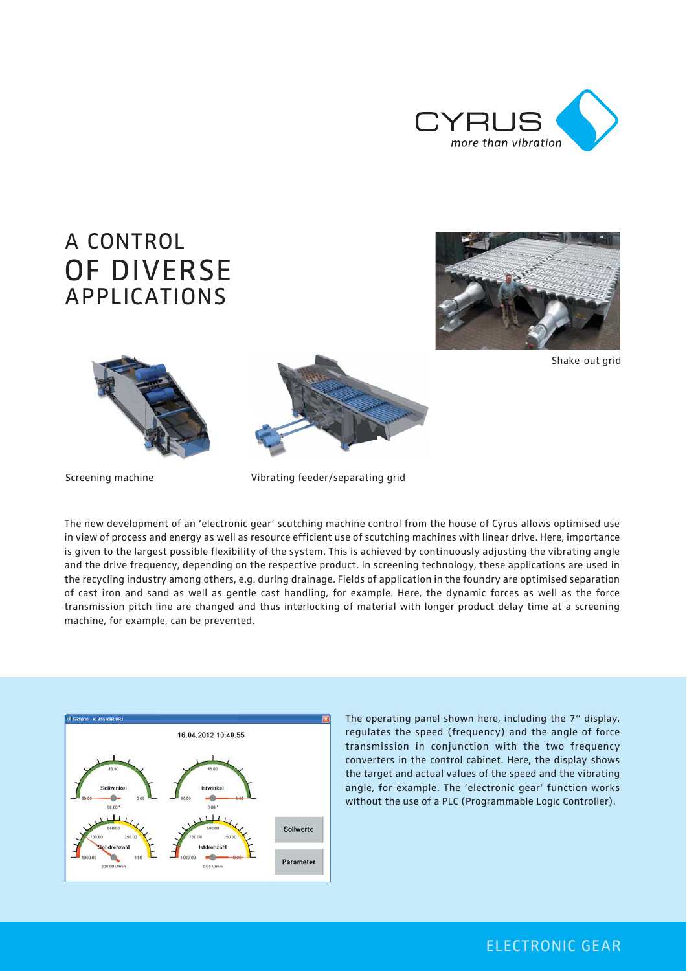

## A CONTROL OF DIVERSE APPLICATIONS









Screening machine Vibrating feeder/separating grid

The new development of an 'electronic gear' scutching machine control from the house of Cyrus allows optimised use in view of process and energy as well as resource efficient use of scutching machines with linear drive. Here, importance is given to the largest possible flexibility of the system. This is achieved by continuously adjusting the vibrating angle and the drive frequency, depending on the respective product. In screening technology, these applications are used in the recycling industry among others, e.g. during drainage. Fields of application in the foundry are optimised separation of cast iron and sand as well as gentle cast handling, for example. Here, the dynamic forces as well as the force transmission pitch line are changed and thus interlocking of material with longer product delay time at a screening machine, for example, can be prevented.



The operating panel shown here, including the 7" display, regulates the speed (frequency) and the angle of force transmission in conjunction with the two frequency converters in the control cabinet. Here, the display shows the target and actual values of the speed and the vibrating angle, for example. The 'electronic gear' function works without the use of a PLC (Programmable Logic Controller).